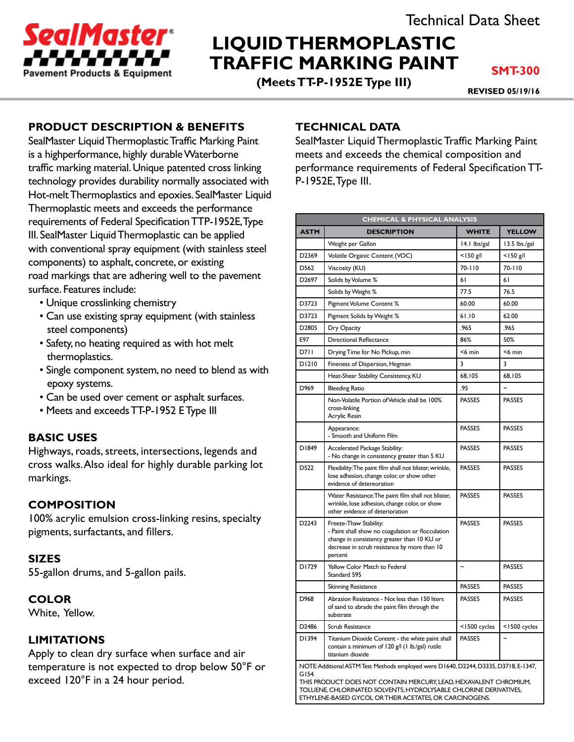

# **LIQUID THERMOPLASTIC TRAFFIC MARKING PAINT**

**(Meets TT-P-1952E Type III)**

**SMT-300**

**REVISED 05/19/16**

# **PRODUCT DESCRIPTION & BENEFITS**

SealMaster Liquid Thermoplastic Traffic Marking Paint is a highperformance, highly durable Waterborne traffic marking material. Unique patented cross linking technology provides durability normally associated with Hot-melt Thermoplastics and epoxies. SealMaster Liquid Thermoplastic meets and exceeds the performance requirements of Federal Specification TTP-1952E, Type III. SealMaster Liquid Thermoplastic can be applied with conventional spray equipment (with stainless steel components) to asphalt, concrete, or existing road markings that are adhering well to the pavement surface. Features include:

- Unique crosslinking chemistry
- Can use existing spray equipment (with stainless steel components)
- Safety, no heating required as with hot melt thermoplastics.
- Single component system, no need to blend as with epoxy systems.
- Can be used over cement or asphalt surfaces.
- Meets and exceeds TT-P-1952 E Type III

#### **BASIC USES**

Highways, roads, streets, intersections, legends and cross walks. Also ideal for highly durable parking lot markings.

#### **COMPOSITION**

100% acrylic emulsion cross-linking resins, specialty pigments, surfactants, and fillers.

#### **SIZES**

55-gallon drums, and 5-gallon pails.

#### **COLOR**

White, Yellow.

#### **LIMITATIONS**

Apply to clean dry surface when surface and air temperature is not expected to drop below 50°F or exceed 120°F in a 24 hour period.

#### **TECHNICAL DATA**

SealMaster Liquid Thermoplastic Traffic Marking Paint meets and exceeds the chemical composition and performance requirements of Federal Specification TT-P-1952E, Type III.

| <b>CHEMICAL &amp; PHYSICAL ANALYSIS</b>                                                                                                                                                                                                                                                            |                                                                                                                                                                                       |                           |                |
|----------------------------------------------------------------------------------------------------------------------------------------------------------------------------------------------------------------------------------------------------------------------------------------------------|---------------------------------------------------------------------------------------------------------------------------------------------------------------------------------------|---------------------------|----------------|
| <b>ASTM</b>                                                                                                                                                                                                                                                                                        | <b>DESCRIPTION</b>                                                                                                                                                                    | <b>WHITE</b>              | <b>YELLOW</b>  |
|                                                                                                                                                                                                                                                                                                    | Weight per Gallon                                                                                                                                                                     | 14.1 lbs/gal              | 13.5 lbs./gal  |
| D2369                                                                                                                                                                                                                                                                                              | Volatile Organic Content (VOC)                                                                                                                                                        | $<$ 150 g/l               | $<$ 150 g/l    |
| D562                                                                                                                                                                                                                                                                                               | Viscosity (KU)                                                                                                                                                                        | 70-110                    | 70-110         |
| D <sub>2697</sub>                                                                                                                                                                                                                                                                                  | Solids by Volume %                                                                                                                                                                    | 61                        | 61             |
|                                                                                                                                                                                                                                                                                                    | Solids by Weight %                                                                                                                                                                    | 77.5                      | 76.5           |
| D3723                                                                                                                                                                                                                                                                                              | Pigment Volume Content %                                                                                                                                                              | 60.00                     | 60.00          |
| D3723                                                                                                                                                                                                                                                                                              | Pigment Solids by Weight %                                                                                                                                                            | 61.10                     | 62.00          |
| D2805                                                                                                                                                                                                                                                                                              | Dry Opacity                                                                                                                                                                           | .965                      | .965           |
| E97                                                                                                                                                                                                                                                                                                | <b>Directional Reflectance</b>                                                                                                                                                        | 86%                       | 50%            |
| D711                                                                                                                                                                                                                                                                                               | Drying Time for No Pickup, min                                                                                                                                                        | $<$ 6 min                 | $<$ 6 min      |
| D1210                                                                                                                                                                                                                                                                                              | Fineness of Dispersion, Hegman                                                                                                                                                        | 3                         | 3              |
|                                                                                                                                                                                                                                                                                                    | Heat-Shear Stability Consistency, KU                                                                                                                                                  | 68,105                    | 68,105         |
| D969                                                                                                                                                                                                                                                                                               | <b>Bleeding Ratio</b>                                                                                                                                                                 | .95                       |                |
|                                                                                                                                                                                                                                                                                                    | Non-Volatile Portion of Vehicle shall be 100%<br>cross-linking<br>Acrylic Resin                                                                                                       | <b>PASSES</b>             | <b>PASSES</b>  |
|                                                                                                                                                                                                                                                                                                    | Appearance:<br>- Smooth and Uniform Film                                                                                                                                              | <b>PASSES</b>             | <b>PASSES</b>  |
| D1849                                                                                                                                                                                                                                                                                              | Accelerated Package Stability:<br>- No change in consistency greater than 5 KU                                                                                                        | <b>PASSES</b>             | <b>PASSES</b>  |
| D522                                                                                                                                                                                                                                                                                               | Flexibility: The paint film shall not blister, wrinkle,<br>lose adhesion, change color, or show other<br>evidence of detereoration                                                    | <b>PASSES</b>             | <b>PASSES</b>  |
|                                                                                                                                                                                                                                                                                                    | Water Resistance: The paint film shall not blister,<br>wrinkle, lose adhesion, change color, or show<br>other evidence of deterioration                                               | <b>PASSES</b>             | <b>PASSES</b>  |
| D2243                                                                                                                                                                                                                                                                                              | Freeze-Thaw Stability:<br>- Paint shall show no coagulation or flocculation<br>change in consistency greater than 10 KU or<br>decrease in scrub resistance by more than 10<br>percent | <b>PASSES</b>             | <b>PASSES</b>  |
| D1729                                                                                                                                                                                                                                                                                              | Yellow Color Match to Federal<br>Standard 595                                                                                                                                         | $\widetilde{\phantom{m}}$ | <b>PASSES</b>  |
|                                                                                                                                                                                                                                                                                                    | Skinning Resistance                                                                                                                                                                   | <b>PASSES</b>             | <b>PASSES</b>  |
| D968                                                                                                                                                                                                                                                                                               | Abrasion Resistance - Not less than 150 liters<br>of sand to abrade the paint film through the<br>substrate                                                                           | <b>PASSES</b>             | <b>PASSES</b>  |
| D2486                                                                                                                                                                                                                                                                                              | Scrub Resistance                                                                                                                                                                      | <1500 cycles              | <1500 cycles   |
| D1394                                                                                                                                                                                                                                                                                              | Titanium Dioxide Content - the white paint shall<br>contain a minimum of 120 g/l (1 lb./gal) rutile<br>titanium dioxide                                                               | <b>PASSES</b>             | $\overline{ }$ |
| NOTE: Additional ASTM Test Methods employed were D1640, D2244, D3335, D3718, E-1347,<br>G154.<br>THIS PRODUCT DOES NOT CONTAIN MERCURY, LEAD, HEXAVALENT CHROMIUM,<br>TOLUENE, CHLORINATED SOLVENTS, HYDROLYSABLE CHLORINE DERIVATIVES,<br>ETHYLENE-BASED GYCOL OR THEIR ACETATES. OR CARCINOGENS. |                                                                                                                                                                                       |                           |                |